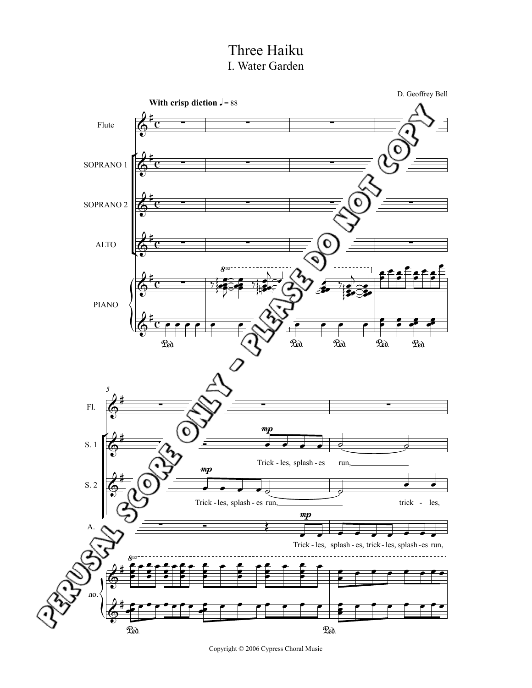Three Haiku I. Water Garden



Copyright © 2006 Cypress Choral Music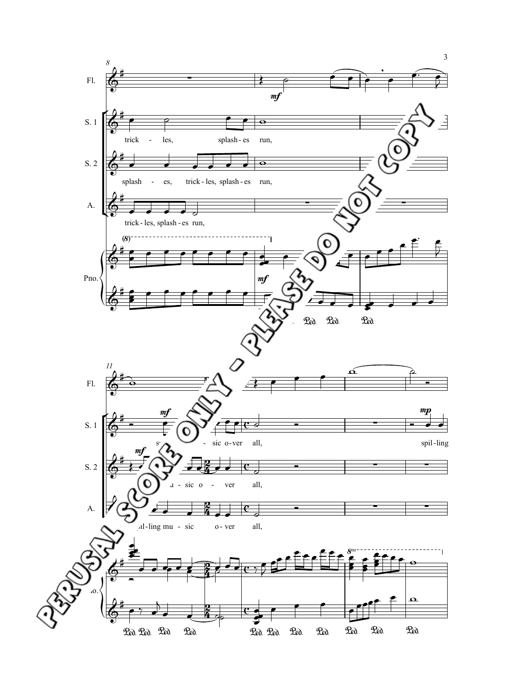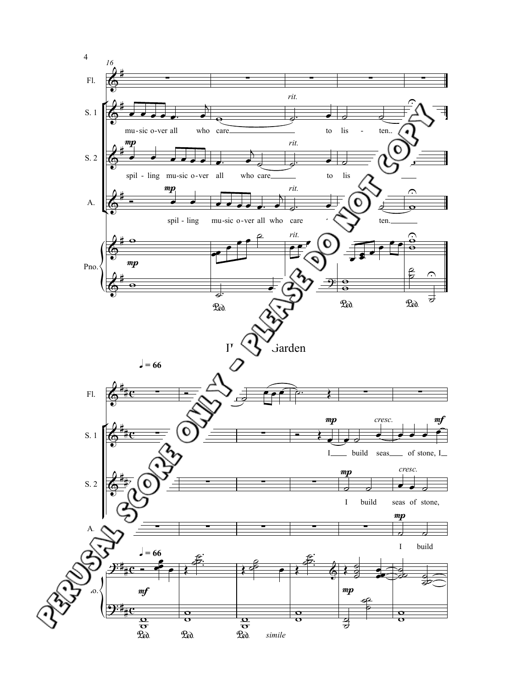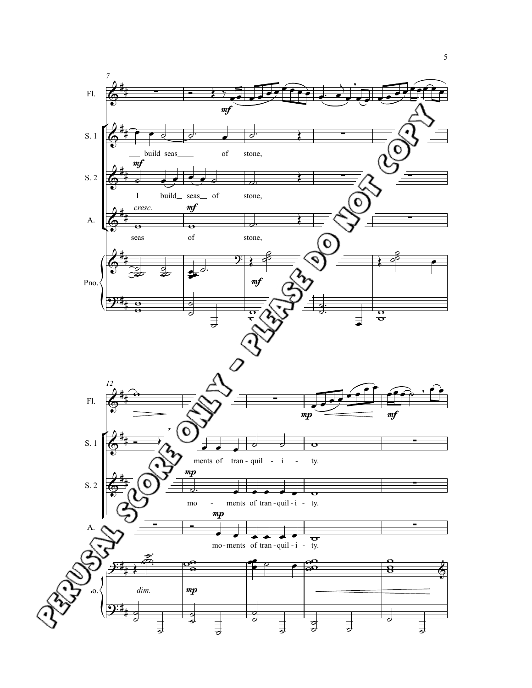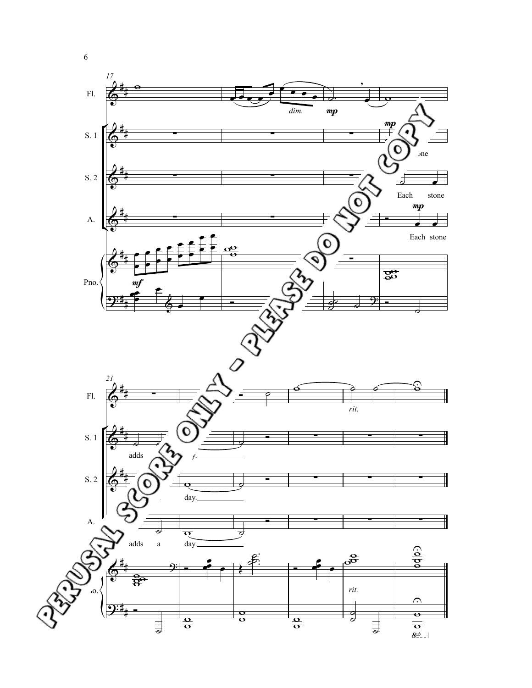

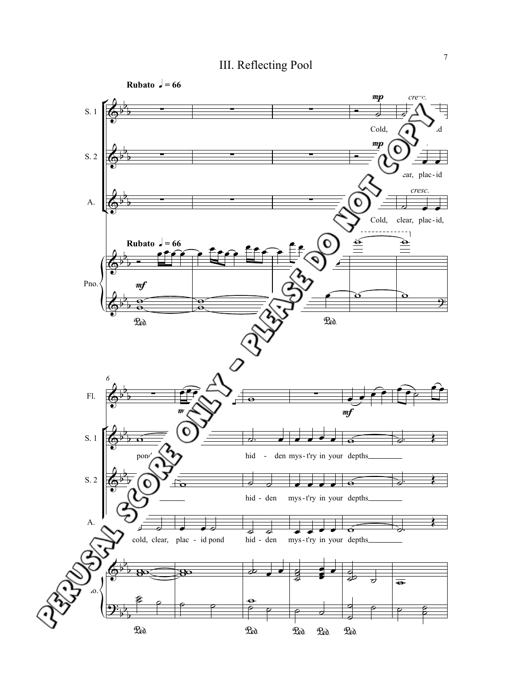